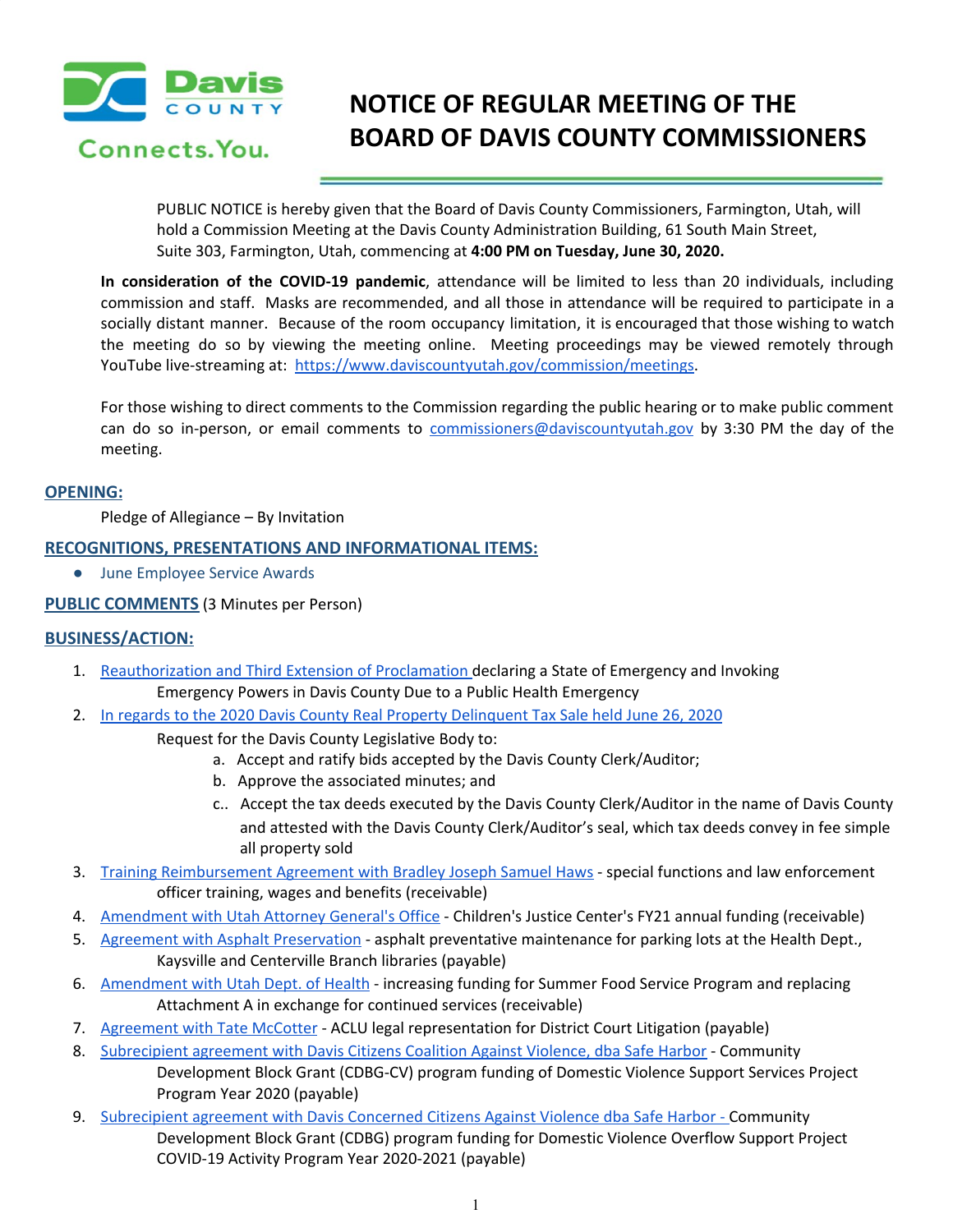

Connects, You.

# **NOTICE OF REGULAR MEETING OF THE BOARD OF DAVIS COUNTY COMMISSIONERS**

PUBLIC NOTICE is hereby given that the Board of Davis County Commissioners, Farmington, Utah, will hold a Commission Meeting at the Davis County Administration Building, 61 South Main Street, Suite 303, Farmington, Utah, commencing at **4:00 PM on Tuesday, June 30, 2020.**

**In consideration of the COVID-19 pandemic**, attendance will be limited to less than 20 individuals, including commission and staff. Masks are recommended, and all those in attendance will be required to participate in a socially distant manner. Because of the room occupancy limitation, it is encouraged that those wishing to watch the meeting do so by viewing the meeting online. Meeting proceedings may be viewed remotely through YouTube live-streaming at: <https://www.daviscountyutah.gov/commission/meetings>.

For those wishing to direct comments to the Commission regarding the public hearing or to make public comment can do so in-person, or email comments to [commissioners@daviscountyutah.gov](mailto:commissioners@daviscountyutah.gov) by 3:30 PM the day of the meeting.

### **OPENING:**

Pledge of Allegiance – By Invitation

# **RECOGNITIONS, PRESENTATIONS AND INFORMATIONAL ITEMS:**

● June Employee Service Awards

# **PUBLIC COMMENTS** (3 Minutes per Person)

### **BUSINESS/ACTION:**

- 1. [Reauthorization](https://drive.google.com/file/d/1wLB05E6ijtxsWSnWRGIwwr112lY9IThz/view?usp=drivesdk) and Third Extension of Proclamation declaring a State of Emergency and Invoking Emergency Powers in Davis County Due to a Public Health Emergency
- 2. In regards to the 2020 Davis County Real Property [Delinquent](https://drive.google.com/file/d/1X7Dv-iiGhbC3GLqUuBXFBenabjHzFWtb/view?usp=drivesdk) Tax Sale held June 26, 2020
	- Request for the Davis County Legislative Body to:
		- a. Accept and ratify bids accepted by the Davis County Clerk/Auditor;
		- b. Approve the associated minutes; and
		- c.. Accept the tax deeds executed by the Davis County Clerk/Auditor in the name of Davis County and attested with the Davis County Clerk/Auditor's seal, which tax deeds convey in fee simple all property sold
- 3. Training [Reimbursement](https://drive.google.com/file/d/1JLidRx7USn3NuwNPV7ZnnQpEbEO2SqFi/view?usp=drivesdk) Agreement with Bradley Joseph Samuel Haws special functions and law enforcement officer training, wages and benefits (receivable)
- 4. [Amendment](https://drive.google.com/file/d/1Sj69ke9eMwb_1BzfipqeyyNjZ_0n4wlF/view?usp=drivesdk) with Utah Attorney General's Office Children's Justice Center's FY21 annual funding (receivable)
- 5. Agreement with Asphalt [Preservation](https://drive.google.com/file/d/1_Sx9YrP1s9ZLRA440eKUQRmvz6rEc079/view?usp=drivesdk) asphalt preventative maintenance for parking lots at the Health Dept., Kaysville and Centerville Branch libraries (payable)
- 6. [Amendment](https://drive.google.com/file/d/18NhlTv3FEs8QCdiVnnJFrFUTUOvb9Eyf/view?usp=drivesdk) with Utah Dept. of Health increasing funding for Summer Food Service Program and replacing Attachment A in exchange for continued services (receivable)
- 7. [Agreement](https://drive.google.com/file/d/13z2AtIEBevu6kRL9FM649hrXwyiOxkTB/view?usp=drivesdk) with Tate McCotter ACLU legal representation for District Court Litigation (payable)
- 8. [Subrecipient](https://drive.google.com/file/d/1BQ9r1fp2bTpfUhnGvIeOPgz_A7aV3GsV/view?usp=drivesdk) agreement with Davis Citizens Coalition Against Violence, dba Safe Harbor Community Development Block Grant (CDBG-CV) program funding of Domestic Violence Support Services Project Program Year 2020 (payable)
- 9. [Subrecipient](https://drive.google.com/file/d/12lgn-zX40AiGFOGt8nPlxoVfjL31uNw4/view?usp=drivesdk) agreement with Davis Concerned Citizens Against Violence dba Safe Harbor Community Development Block Grant (CDBG) program funding for Domestic Violence Overflow Support Project COVID-19 Activity Program Year 2020-2021 (payable)